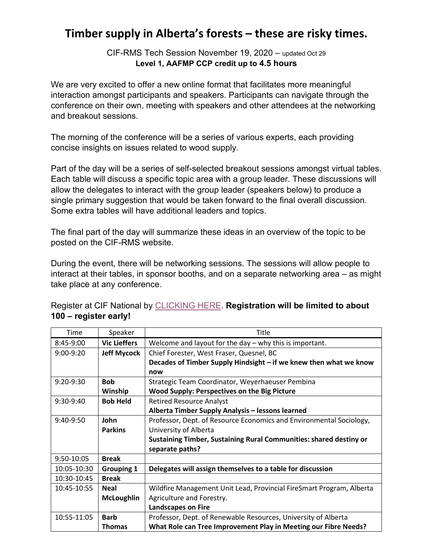## **Timber supply in Alberta's forests – these are risky times.**

CIF-RMS Tech Session November 19, 2020 – updated Oct 29 **Level 1, AAFMP CCP credit up to 4.5 hours** 

We are very excited to offer a new online format that facilitates more meaningful interaction amongst participants and speakers. Participants can navigate through the conference on their own, meeting with speakers and other attendees at the networking and breakout sessions.

The morning of the conference will be a series of various experts, each providing concise insights on issues related to wood supply.

Part of the day will be a series of self-selected breakout sessions amongst virtual tables. Each table will discuss a specific topic area with a group leader. These discussions will allow the delegates to interact with the group leader (speakers below) to produce a single primary suggestion that would be taken forward to the final overall discussion. Some extra tables will have additional leaders and topics.

The final part of the day will summarize these ideas in an overview of the topic to be posted on the CIF-RMS website.

During the event, there will be networking sessions. The sessions will allow people to interact at their tables, in sponsor booths, and on a separate networking area – as might take place at any conference.

| Time        | Speaker             | Title                                                                     |
|-------------|---------------------|---------------------------------------------------------------------------|
| 8:45-9:00   | <b>Vic Lieffers</b> | Welcome and layout for the day $-$ why this is important.                 |
| $9:00-9:20$ | <b>Jeff Mycock</b>  | Chief Forester, West Fraser, Quesnel, BC                                  |
|             |                     | Decades of Timber Supply Hindsight – if we knew then what we know         |
|             |                     | now                                                                       |
| $9:20-9:30$ | <b>Bob</b>          | Strategic Team Coordinator, Weyerhaeuser Pembina                          |
|             | Winship             | <b>Wood Supply: Perspectives on the Big Picture</b>                       |
| $9:30-9:40$ | <b>Bob Held</b>     | <b>Retired Resource Analyst</b>                                           |
|             |                     | Alberta Timber Supply Analysis - lessons learned                          |
| $9:40-9:50$ | John                | Professor, Dept. of Resource Economics and Environmental Sociology,       |
|             | <b>Parkins</b>      | University of Alberta                                                     |
|             |                     | <b>Sustaining Timber, Sustaining Rural Communities: shared destiny or</b> |
|             |                     | separate paths?                                                           |
| 9:50-10:05  | <b>Break</b>        |                                                                           |
| 10:05-10:30 | <b>Grouping 1</b>   | Delegates will assign themselves to a table for discussion                |
| 10:30-10:45 | <b>Break</b>        |                                                                           |
| 10:45-10:55 | <b>Neal</b>         | Wildfire Management Unit Lead, Provincial FireSmart Program, Alberta      |
|             | <b>McLoughlin</b>   | Agriculture and Forestry.                                                 |
|             |                     | <b>Landscapes on Fire</b>                                                 |
| 10:55-11:05 | <b>Barb</b>         | Professor, Dept. of Renewable Resources, University of Alberta            |
|             | <b>Thomas</b>       | What Role can Tree Improvement Play in Meeting our Fibre Needs?           |

Register at CIF National by [CLICKING HERE.](http://www.cif-ifc.org/events/cif-technical-workshop-timber-supply-in-albertas-forests-these-are-risky-times/) **Registration will be limited to about 100 – register early!**